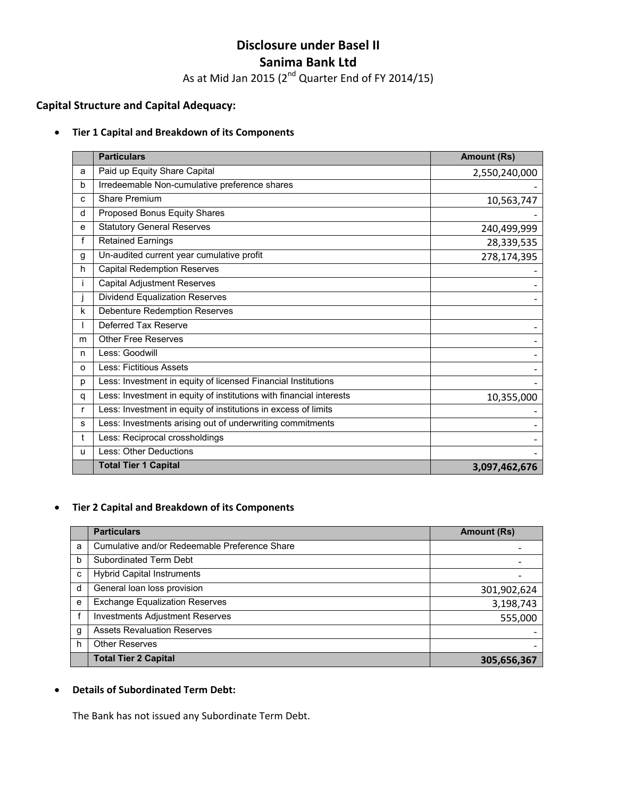# **Disclosure under Basel II Sanima Bank Ltd**

As at Mid Jan 2015 (2<sup>nd</sup> Quarter End of FY 2014/15)

# **Capital Structure and Capital Adequacy:**

#### • **Tier 1 Capital and Breakdown of its Components**

|   | <b>Particulars</b>                                                  | <b>Amount (Rs)</b> |
|---|---------------------------------------------------------------------|--------------------|
| a | Paid up Equity Share Capital                                        | 2,550,240,000      |
| b | Irredeemable Non-cumulative preference shares                       |                    |
| c | <b>Share Premium</b>                                                | 10,563,747         |
| d | Proposed Bonus Equity Shares                                        |                    |
| е | <b>Statutory General Reserves</b>                                   | 240,499,999        |
| f | <b>Retained Earnings</b>                                            | 28,339,535         |
| g | Un-audited current year cumulative profit                           | 278,174,395        |
| h | <b>Capital Redemption Reserves</b>                                  |                    |
| Ť | <b>Capital Adjustment Reserves</b>                                  |                    |
|   | <b>Dividend Equalization Reserves</b>                               |                    |
| k | <b>Debenture Redemption Reserves</b>                                |                    |
|   | Deferred Tax Reserve                                                |                    |
| m | <b>Other Free Reserves</b>                                          |                    |
| n | Less: Goodwill                                                      |                    |
| O | Less: Fictitious Assets                                             |                    |
| p | Less: Investment in equity of licensed Financial Institutions       |                    |
| q | Less: Investment in equity of institutions with financial interests | 10,355,000         |
| r | Less: Investment in equity of institutions in excess of limits      |                    |
| s | Less: Investments arising out of underwriting commitments           |                    |
| t | Less: Reciprocal crossholdings                                      |                    |
| u | Less: Other Deductions                                              |                    |
|   | <b>Total Tier 1 Capital</b>                                         | 3,097,462,676      |

# • **Tier 2 Capital and Breakdown of its Components**

|   | <b>Particulars</b>                            | <b>Amount (Rs)</b> |
|---|-----------------------------------------------|--------------------|
| a | Cumulative and/or Redeemable Preference Share |                    |
| b | Subordinated Term Debt                        |                    |
| c | <b>Hybrid Capital Instruments</b>             |                    |
| d | General loan loss provision                   | 301,902,624        |
| e | <b>Exchange Equalization Reserves</b>         | 3,198,743          |
|   | <b>Investments Adjustment Reserves</b>        | 555,000            |
| g | <b>Assets Revaluation Reserves</b>            |                    |
| h | <b>Other Reserves</b>                         |                    |
|   | <b>Total Tier 2 Capital</b>                   | 305,656,367        |

#### • **Details of Subordinated Term Debt:**

The Bank has not issued any Subordinate Term Debt.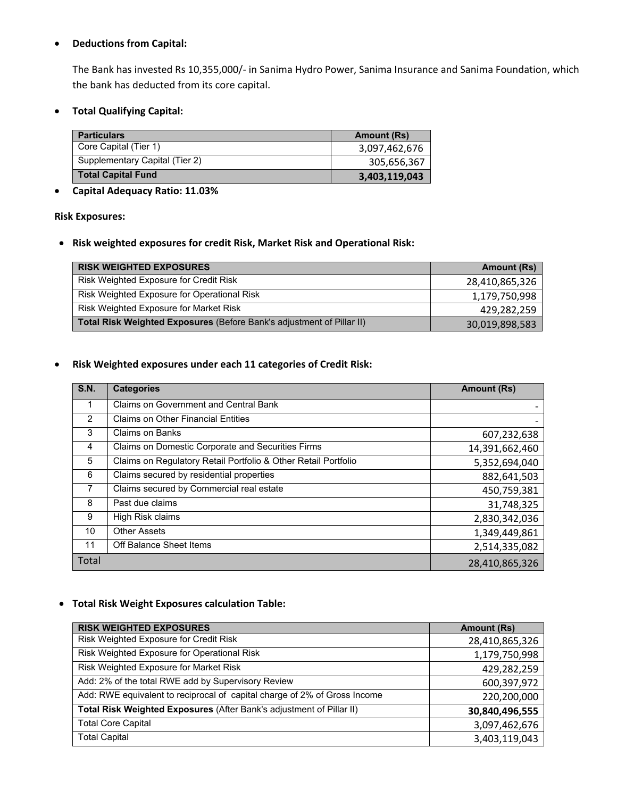## • **Deductions from Capital:**

The Bank has invested Rs 10,355,000/‐ in Sanima Hydro Power, Sanima Insurance and Sanima Foundation, which the bank has deducted from its core capital.

• **Total Qualifying Capital:** 

| <b>Particulars</b>             | <b>Amount (Rs)</b> |
|--------------------------------|--------------------|
| Core Capital (Tier 1)          | 3,097,462,676      |
| Supplementary Capital (Tier 2) | 305,656,367        |
| <b>Total Capital Fund</b>      | 3,403,119,043      |

# • **Capital Adequacy Ratio: 11.03%**

#### **Risk Exposures:**

• **Risk weighted exposures for credit Risk, Market Risk and Operational Risk:** 

| <b>RISK WEIGHTED EXPOSURES</b>                                        | <b>Amount (Rs)</b> |
|-----------------------------------------------------------------------|--------------------|
| Risk Weighted Exposure for Credit Risk                                | 28,410,865,326     |
| Risk Weighted Exposure for Operational Risk                           | 1,179,750,998      |
| Risk Weighted Exposure for Market Risk                                | 429,282,259        |
| Total Risk Weighted Exposures (Before Bank's adjustment of Pillar II) | 30,019,898,583     |

## • **Risk Weighted exposures under each 11 categories of Credit Risk:**

| S.N.           | <b>Categories</b>                                              | <b>Amount (Rs)</b> |
|----------------|----------------------------------------------------------------|--------------------|
|                | <b>Claims on Government and Central Bank</b>                   |                    |
| $\overline{2}$ | <b>Claims on Other Financial Entities</b>                      |                    |
| 3              | <b>Claims on Banks</b>                                         | 607,232,638        |
| 4              | Claims on Domestic Corporate and Securities Firms              | 14,391,662,460     |
| 5              | Claims on Regulatory Retail Portfolio & Other Retail Portfolio | 5,352,694,040      |
| 6              | Claims secured by residential properties                       | 882,641,503        |
| 7              | Claims secured by Commercial real estate                       | 450,759,381        |
| 8              | Past due claims                                                | 31,748,325         |
| 9              | High Risk claims                                               | 2,830,342,036      |
| 10             | <b>Other Assets</b>                                            | 1,349,449,861      |
| 11             | Off Balance Sheet Items                                        | 2,514,335,082      |
| Total          |                                                                | 28,410,865,326     |

## • **Total Risk Weight Exposures calculation Table:**

| <b>RISK WEIGHTED EXPOSURES</b>                                            | <b>Amount (Rs)</b> |
|---------------------------------------------------------------------------|--------------------|
| Risk Weighted Exposure for Credit Risk                                    | 28,410,865,326     |
| Risk Weighted Exposure for Operational Risk                               | 1,179,750,998      |
| Risk Weighted Exposure for Market Risk                                    | 429,282,259        |
| Add: 2% of the total RWE add by Supervisory Review                        | 600,397,972        |
| Add: RWE equivalent to reciprocal of capital charge of 2% of Gross Income | 220,200,000        |
| Total Risk Weighted Exposures (After Bank's adjustment of Pillar II)      | 30,840,496,555     |
| <b>Total Core Capital</b>                                                 | 3,097,462,676      |
| <b>Total Capital</b>                                                      | 3,403,119,043      |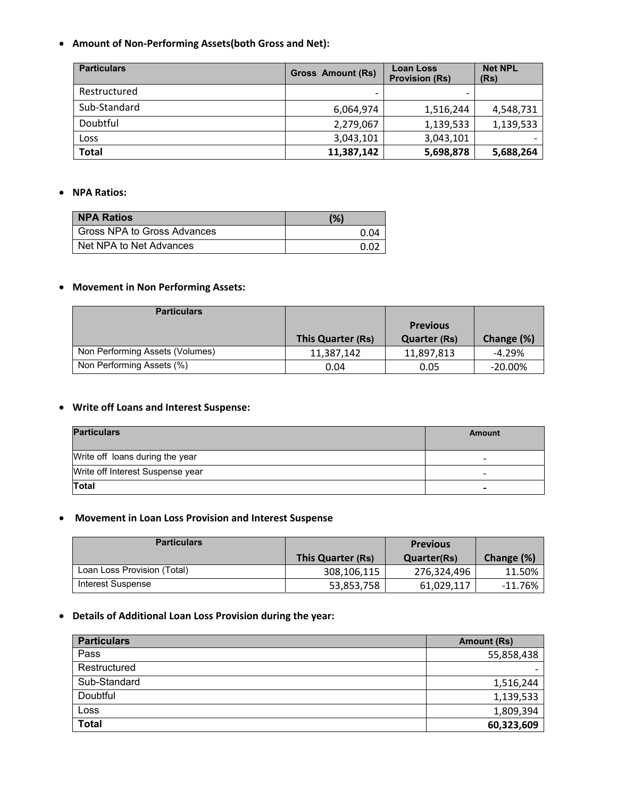• **Amount of Non‐Performing Assets(both Gross and Net):** 

| <b>Particulars</b> | <b>Gross Amount (Rs)</b> | <b>Loan Loss</b><br><b>Provision (Rs)</b> | <b>Net NPL</b><br>(Rs) |
|--------------------|--------------------------|-------------------------------------------|------------------------|
| Restructured       | $\overline{\phantom{0}}$ |                                           |                        |
| Sub-Standard       | 6,064,974                | 1,516,244                                 | 4,548,731              |
| Doubtful           | 2,279,067                | 1,139,533                                 | 1,139,533              |
| Loss               | 3,043,101                | 3,043,101                                 |                        |
| <b>Total</b>       | 11,387,142               | 5,698,878                                 | 5,688,264              |

#### • **NPA Ratios:**

| <b>NPA Ratios</b>           | (%)          |
|-----------------------------|--------------|
| Gross NPA to Gross Advances | 0.04         |
| Net NPA to Net Advances     | <u>በ በ</u> 2 |

# • **Movement in Non Performing Assets:**

| <b>Particulars</b>              |                   |                                        |            |
|---------------------------------|-------------------|----------------------------------------|------------|
|                                 | This Quarter (Rs) | <b>Previous</b><br><b>Quarter (Rs)</b> | Change (%) |
| Non Performing Assets (Volumes) | 11.387.142        | 11,897,813                             | $-4.29%$   |
| Non Performing Assets (%)       | 0.04              | 0.05                                   | $-20.00\%$ |

#### • **Write off Loans and Interest Suspense:**

| <b>Particulars</b>               | Amount |
|----------------------------------|--------|
| Write off loans during the year  |        |
| Write off Interest Suspense year | -      |
| Total                            |        |

# • **Movement in Loan Loss Provision and Interest Suspense**

| <b>Particulars</b>          |                   | <b>Previous</b>    |            |
|-----------------------------|-------------------|--------------------|------------|
|                             | This Quarter (Rs) | <b>Quarter(Rs)</b> | Change (%) |
| Loan Loss Provision (Total) | 308,106,115       | 276,324,496        | 11.50%     |
| Interest Suspense           | 53,853,758        | 61,029,117         | -11.76%    |

# • **Details of Additional Loan Loss Provision during the year:**

| <b>Particulars</b> | Amount (Rs)              |
|--------------------|--------------------------|
| Pass               | 55,858,438               |
| Restructured       | $\overline{\phantom{0}}$ |
| Sub-Standard       | 1,516,244                |
| Doubtful           | 1,139,533                |
| Loss               | 1,809,394                |
| <b>Total</b>       | 60,323,609               |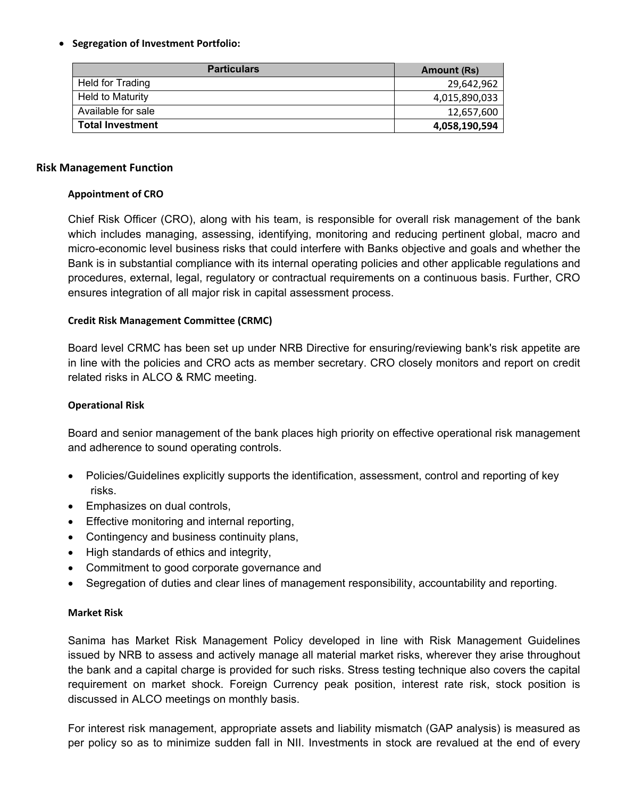## • **Segregation of Investment Portfolio:**

| <b>Particulars</b>      | Amount (Rs)   |
|-------------------------|---------------|
| Held for Trading        | 29,642,962    |
| Held to Maturity        | 4,015,890,033 |
| Available for sale      | 12,657,600    |
| <b>Total Investment</b> | 4,058,190,594 |

#### **Risk Management Function**

## **Appointment of CRO**

Chief Risk Officer (CRO), along with his team, is responsible for overall risk management of the bank which includes managing, assessing, identifying, monitoring and reducing pertinent global, macro and micro-economic level business risks that could interfere with Banks objective and goals and whether the Bank is in substantial compliance with its internal operating policies and other applicable regulations and procedures, external, legal, regulatory or contractual requirements on a continuous basis. Further, CRO ensures integration of all major risk in capital assessment process.

## **Credit Risk Management Committee (CRMC)**

Board level CRMC has been set up under NRB Directive for ensuring/reviewing bank's risk appetite are in line with the policies and CRO acts as member secretary. CRO closely monitors and report on credit related risks in ALCO & RMC meeting.

## **Operational Risk**

Board and senior management of the bank places high priority on effective operational risk management and adherence to sound operating controls.

- Policies/Guidelines explicitly supports the identification, assessment, control and reporting of key risks.
- Emphasizes on dual controls,
- Effective monitoring and internal reporting,
- Contingency and business continuity plans,
- High standards of ethics and integrity,
- Commitment to good corporate governance and
- Segregation of duties and clear lines of management responsibility, accountability and reporting.

#### **Market Risk**

Sanima has Market Risk Management Policy developed in line with Risk Management Guidelines issued by NRB to assess and actively manage all material market risks, wherever they arise throughout the bank and a capital charge is provided for such risks. Stress testing technique also covers the capital requirement on market shock. Foreign Currency peak position, interest rate risk, stock position is discussed in ALCO meetings on monthly basis.

For interest risk management, appropriate assets and liability mismatch (GAP analysis) is measured as per policy so as to minimize sudden fall in NII. Investments in stock are revalued at the end of every